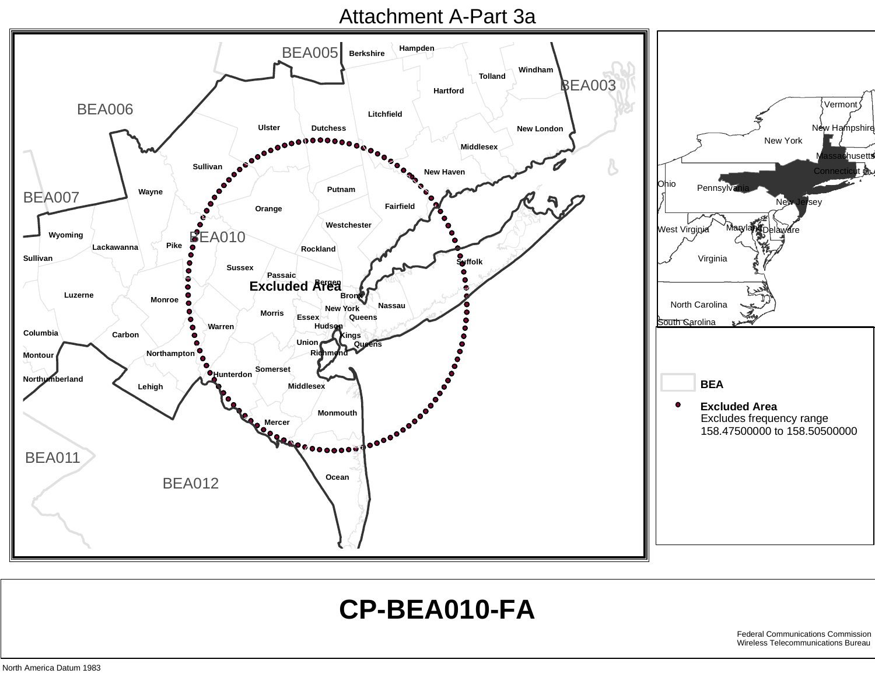## Attachment A-Part 3a



## **CP-BEA010-FA**